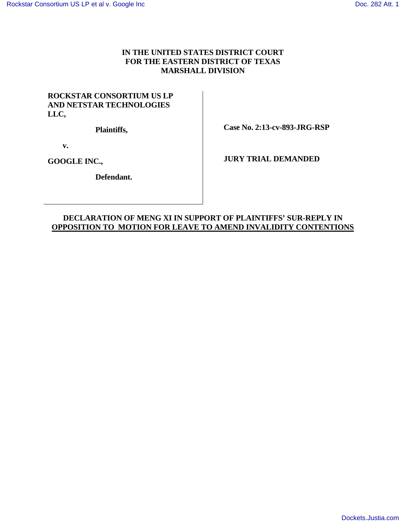## **IN THE UNITED STATES DISTRICT COURT FOR THE EASTERN DISTRICT OF TEXAS MARSHALL DIVISION**

## **ROCKSTAR CONSORTIUM US LP AND NETSTAR TECHNOLOGIES LLC,**

 **Plaintiffs,** 

 **Case No. 2:13-cv-893-JRG-RSP** 

 **v.** 

**GOOGLE INC.,** 

 **JURY TRIAL DEMANDED** 

 **Defendant.** 

## **DECLARATION OF MENG XI IN SUPPORT OF PLAINTIFFS' SUR-REPLY IN OPPOSITION TO MOTION FOR LEAVE TO AMEND INVALIDITY CONTENTIONS**